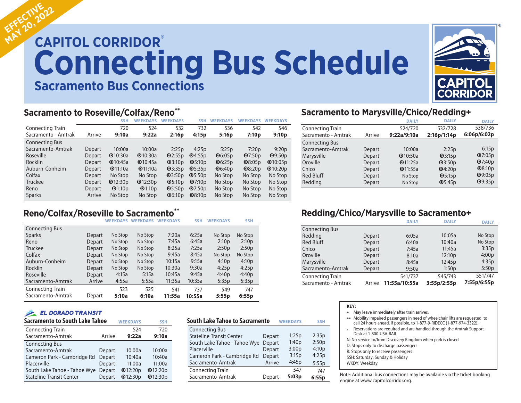# **CAPITOL CORRIDOR® Connecting Bus Schedule Sacramento Bus Connections EFFECTIVE EFFECTIVE22**



## **Sacramento to Roseville/Colfax/Reno\*\***

|                         |        | <b>SSH</b> | <b>WEEKDAYS</b> | <b>WEEKDAYS</b>                     | SSH                      | <b>WEEKDAYS</b>         | <b>WEEKDAYS</b>   | <b>WEEKDAYS</b> |
|-------------------------|--------|------------|-----------------|-------------------------------------|--------------------------|-------------------------|-------------------|-----------------|
| <b>Connecting Train</b> |        | 720        | 524             | 532                                 | 732                      | 536                     | 542               | 546             |
| Sacramento - Amtrak     | Arrive | 9:10a      | 9:22a           | 2:16p                               | 4:15p                    | 5:16p                   | 7:10 <sub>p</sub> | 9:10p           |
| <b>Connecting Bus</b>   |        |            |                 |                                     |                          |                         |                   |                 |
| Sacramento-Amtrak       | Depart | 10:00a     | 10:00a          | 2:25p                               | 4:25p                    | 5:25p                   | 7:20p             | 9:20p           |
| Roseville               | Depart | Q10:30a    | Q10:30a         | Q2:55p                              | Q4:55p                   | $\mathbf{\Theta}$ 6:05p | Q7:50p            | Q9:50p          |
| <b>Rocklin</b>          | Depart | Q10:45a    | Q10:45a         | Q3:10p                              | $\Phi$ 5:10 <sub>p</sub> | $\mathbf{\Theta}$ 6:25p | Q8:05p            | Q10:05p         |
| Auburn-Conheim          | Depart | $Q$ 11:10a | Q11:10a         | Q3:35p                              | $\Phi$ 5:35p             | $\Phi$ 6:40p            | Q8:20p            | Q10:20p         |
| Colfax                  | Depart | No Stop    | No Stop         | Q3:50p                              | $\mathbf{\Theta}$ 5:50p  | No Stop                 | No Stop           | No Stop         |
| Truckee                 | Depart | Q12:30p    | Q12:30p         | $\Phi$ 5:10 <sub>p</sub>            | Q7:10p                   | No Stop                 | No Stop           | No Stop         |
| Reno                    | Depart | Q1:10p     | Q1:10p          | $\Phi$ 5:50p                        | Q7:50p                   | No Stop                 | No Stop           | No Stop         |
| <b>Sparks</b>           | Arrive | No Stop    | No Stop         | $\mathbf{\Theta}$ 6:10 <sub>p</sub> | Q8:10p                   | No Stop                 | No Stop           | No Stop         |

# **Reno/Colfax/Roseville to Sacramento\*\***

|                         |        | <b>WEEKDAYS</b> | <b>WEEKDAYS</b> | <b>WEEKDAYS</b> | <b>SSH</b> | <b>WEEKDAYS</b>   | <b>SSH</b> |
|-------------------------|--------|-----------------|-----------------|-----------------|------------|-------------------|------------|
| <b>Connecting Bus</b>   |        |                 |                 |                 |            |                   |            |
| <b>Sparks</b>           | Depart | No Stop         | No Stop         | 7:20a           | 6:25a      | No Stop           | No Stop    |
| Reno                    | Depart | No Stop         | No Stop         | 7:45a           | 6:45a      | 2:10 <sub>p</sub> | 2:10p      |
| <b>Truckee</b>          | Depart | No Stop         | No Stop         | 8:25a           | 7:25a      | 2:50p             | 2:50p      |
| Colfax                  | Depart | No Stop         | No Stop         | 9:45a           | 8:45a      | No Stop           | No Stop    |
| Auburn-Conheim          | Depart | No Stop         | No Stop         | 10:15a          | 9:15a      | 4:10 <sub>p</sub> | 4:10p      |
| <b>Rocklin</b>          | Depart | No Stop         | No Stop         | 10:30a          | 9:30a      | 4:25p             | 4:25p      |
| Roseville               | Depart | 4:15a           | 5:15a           | 10:45a          | 9:45a      | 4:40p             | 4:40p      |
| Sacramento-Amtrak       | Arrive | 4:55a           | 5:55a           | 11:35a          | 10:35a     | 5:35p             | 5:35p      |
| <b>Connecting Train</b> |        | 523             | 525             | 541             | 737        | 549               | 747        |
| Sacramento-Amtrak       | Depart | 5:10a           | 6:10a           | 11:55a          | 10:55a     | 5:55p             | 6:55p      |

### **EL DORADO TRANSIT**

| <b>Sacramento to South Lake Tahoe</b> | <b>WEEKDAYS</b> | <b>SSH</b>     |         |
|---------------------------------------|-----------------|----------------|---------|
| <b>Connecting Train</b>               |                 | 524            | 720     |
| Sacramento-Amtrak                     | Arrive          | 9:22a          | 9:10a   |
| <b>Connecting Bus</b>                 |                 |                |         |
| Sacramento-Amtrak                     | Depart          | 10:00a         | 10:00a  |
| Cameron Park - Cambridge Rd           | Depart          | 10:40a         | 10:40a  |
| Placerville                           | Depart          | 11:00a         | 11:00a  |
| South Lake Tahoe - Tahoe Wye          | Depart          | Q12:20p        | Q12:20p |
| <b>Stateline Transit Center</b>       | Depart          | <b>@12:30p</b> | Q12:30p |

| South Lake Tahoe to Sacramento  | <b>WEEKDAYS</b> | <b>SSH</b> |       |
|---------------------------------|-----------------|------------|-------|
| <b>Connecting Bus</b>           |                 |            |       |
| <b>Stateline Transit Center</b> | Depart          | 1:25p      | 2:35p |
| South Lake Tahoe - Tahoe Wye    | Depart          | 1:40p      | 2:50p |
| Placerville                     | Depart          | 3:00p      | 4:10p |
| Cameron Park - Cambridge Rd     | Depart          | 3:15p      | 4:25p |
| Sacramento-Amtrak               | Arrive          | 4:45p      | 5:55p |
| <b>Connecting Train</b>         |                 | 547        | 747   |
| Sacramento-Amtrak               | Depart          | 5:03p      | 6:55p |

### **Sacramento to Marysville/Chico/Redding+**

|                         |        | <b>DAILY</b> | <b>DAILY</b>      | <b>DAILY</b>  |
|-------------------------|--------|--------------|-------------------|---------------|
| <b>Connecting Train</b> |        | 524/720      | 532/728           | 538/736       |
| Sacramento - Amtrak     | Arrive | 9:22a/9:10a  | 2:16p/1:14p       | 6:06p/6:02p   |
| <b>Connecting Bus</b>   |        |              |                   |               |
| Sacramento-Amtrak       | Depart | 10:00a       | 2:25p             | 6:15p         |
| Marysville              | Depart | Q10:50a      | Q3:15p            | Q7:05p        |
| Oroville                | Depart | Q11:25a      | Q3:50p            | Q7:40p        |
| Chico                   | Depart | Q11:55a      | Q4:20p            | <b>@8:10p</b> |
| <b>Red Bluff</b>        | Depart | No Stop      | $\mathbf{0}5:15p$ | Q9:05p        |
| Redding                 | Depart | No Stop      | $\Phi$ 5:45p      | <b>@9:35p</b> |

# **Redding/Chico/Marysville to Sacramento+**

|                         |        | <b>DAILY</b>  | <b>DAILY</b> | <b>DAILY</b> |
|-------------------------|--------|---------------|--------------|--------------|
| <b>Connecting Bus</b>   |        |               |              |              |
| Redding                 | Depart | 6:05a         | 10:05a       | No Stop      |
| <b>Red Bluff</b>        | Depart | 6:40a         | 10:40a       | No Stop      |
| Chico                   | Depart | 7:45a         | 11:45a       | 3:35p        |
| Oroville                | Depart | 8:10a         | 12:10p       | 4:00p        |
| Marysville              | Depart | 8:45a         | 12:45p       | 4:35p        |
| Sacramento-Amtrak       | Depart | 9:50a         | 1:50p        | 5:50p        |
| <b>Connecting Train</b> |        | 541/737       | 545/743      | 551/747      |
| Sacramento - Amtrak     | Arrive | 11:55a/10:55a | 3:55p/2:55p  | 7:55p/6:55p  |

| KEY: |                                                                                                                                                       |
|------|-------------------------------------------------------------------------------------------------------------------------------------------------------|
| ∗    | May leave immediately after train arrives.                                                                                                            |
|      | ** Mobility impaired passengers in need of wheelchair lifts are requested to<br>call 24 hours ahead, if possible, to 1-877-9-RIDECC (1-877-974-3322). |
|      | Reservations are required and are handled through the Amtrak Support<br>Desk at 1-800-USA-RAIL                                                        |
|      | N: No service to/from Discovery Kingdom when park is closed                                                                                           |
|      | D: Stops only to discharge passengers                                                                                                                 |
|      | R: Stops only to receive passengers                                                                                                                   |
|      | SSH: Saturday, Sunday & Holiday                                                                                                                       |
|      | WKDY: Weekday                                                                                                                                         |
|      |                                                                                                                                                       |

Note: Additional bus connections may be available via the ticket booking engine at www.capitolcorridor.org.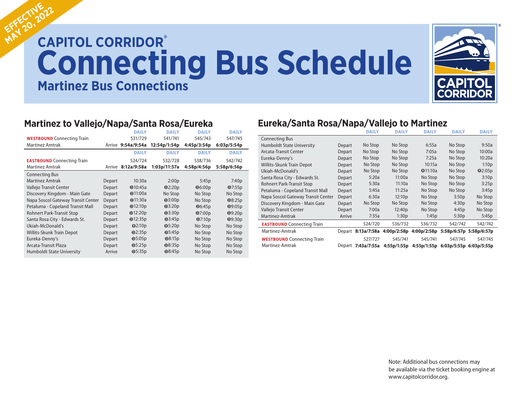# **CAPITOL CORRIDOR® Connecting Bus Schedule Martinez Bus Connections EFFECTIVE EFFECTIVE22**



# **Martinez to Vallejo/Napa/Santa Rosa/Eureka**

|                                    |        | <b>DAILY</b>       | <b>DAILY</b>  | <b>DAILY</b>            | <b>DAILY</b>   |
|------------------------------------|--------|--------------------|---------------|-------------------------|----------------|
| <b>WESTBOUND</b> Connecting Train  |        | 531/729            | 541/741       | 545/743                 | 547/745        |
| <b>Martinez Amtrak</b>             |        | Arrive 9:54a/9:54a | 12:54p/1:54p  | 4:45p/3:54p             | 6:03p/5:54p    |
|                                    |        | <b>DAILY</b>       | <b>DAILY</b>  | <b>DAILY</b>            | <b>DAILY</b>   |
| <b>EASTBOUND</b> Connecting Train  |        | 524/724            | 532/728       | 538/736                 | 542/742        |
| <b>Martinez Amtrak</b>             | Arrive | 8:12a/9:58a        | 1:03p/11:57a  | 4:58p/4:56p             | 5:58p/6:56p    |
| <b>Connecting Bus</b>              |        |                    |               |                         |                |
| <b>Martinez Amtrak</b>             | Depart | 10:30a             | 2:00p         | 5:45p                   | 7:40p          |
| Vallejo Transit Center             | Depart | Q10:45a            | Q2:20p        | Q6:00p                  | Q7:55p         |
| Discovery Kingdom - Main Gate      | Depart | $Q$ 11:00a         | No Stop       | No Stop                 | No Stop        |
| Napa Soscol Gateway Transit Center | Depart | Q11:30a            | Q3:00p        | No Stop                 | <b>0</b> 8:25p |
| Petaluma - Copeland Transit Mall   | Depart | Q12:10p            | Q3:20p        | $\mathbf{\Theta}$ 6:45p | 09:05p         |
| <b>Rohnert Park-Transit Stop</b>   | Depart | Q12:20p            | Q3:30p        | Q7:00p                  | 09:20p         |
| Santa Rosa City - Edwards St.      | Depart | Q12:35p            | Q3:45p        | Q7:10p                  | <b>@9:30p</b>  |
| Ukiah-McDonald's                   | Depart | Q2:10p             | Q5:20p        | No Stop                 | No Stop        |
| <b>Willits-Skunk Train Depot</b>   | Depart | Q2:35p             | Q5:45p        | No Stop                 | No Stop        |
| Eureka-Denny's                     | Depart | Q5:05p             | <b>@8:15p</b> | No Stop                 | No Stop        |
| Arcata-Transit Plaza               | Depart | Q5:25p             | @8:35p        | No Stop                 | No Stop        |
| <b>Humboldt State University</b>   | Arrive | Q5:35p             | Q8:45p        | No Stop                 | No Stop        |

# **Eureka/Santa Rosa/Napa/Vallejo to Martinez**

|                                    |        | <b>DAILY</b>       | <b>DAILY</b> | <b>DAILY</b> | <b>DAILY</b>            | <b>DAILY</b>            |
|------------------------------------|--------|--------------------|--------------|--------------|-------------------------|-------------------------|
| <b>Connecting Bus</b>              |        |                    |              |              |                         |                         |
| <b>Humboldt State University</b>   | Depart | No Stop            | No Stop      | 6:55a        | No Stop                 | 9:50a                   |
| Arcata-Transit Center              | Depart | No Stop            | No Stop      | 7:05a        | No Stop                 | 10:00a                  |
| Eureka-Denny's                     | Depart | No Stop            | No Stop      | 7:25a        | No Stop                 | 10:20a                  |
| Willits-Skunk Train Depot          | Depart | No Stop            | No Stop      | 10:15a       | No Stop                 | 1:10p                   |
| Ukiah-McDonald's                   | Depart | No Stop            | No Stop      | Q11:10a      | No Stop                 | Q2:05p                  |
| Santa Rosa City - Edwards St.      | Depart | 5:20a              | 11:00a       | No Stop      | No Stop                 | 3:10p                   |
| Rohnert Park-Transit Stop          | Depart | 5:30a              | 11:10a       | No Stop      | No Stop                 | 3:25p                   |
| Petaluma - Copeland Transit Mall   | Depart | 5:45a              | 11:25a       | No Stop      | No Stop                 | 3:45p                   |
| Napa Soscol Gateway Transit Center | Depart | 6:30a              | 12:10p       | No Stop      | 3:50p                   | No Stop                 |
| Discovery Kingdom - Main Gate      | Depart | No Stop            | No Stop      | No Stop      | 4:30p                   | No Stop                 |
| Vallejo Transit Center             | Depart | 7:00a              | 12:40p       | No Stop      | 4:45p                   | No Stop                 |
| Martinez-Amtrak                    | Arrive | 7:35a              | 1:30p        | 1:45p        | 5:30p                   | 5:45p                   |
| <b>EASTBOUND</b> Connecting Train  |        | 524/720            | 536/732      | 536/732      | 542/742                 | 542/742                 |
| Martinez-Amtrak                    |        | Depart 8:13a/7:58a | 4:00p/2:58p  | 4:00p/2:58p  |                         | 5:58p/6:57p 5:58p/6:57p |
| <b>WESTBOUND</b> Connecting Train  |        | 527/727            | 545/741      | 545/741      | 547/745                 | 547/745                 |
| Martinez-Amtrak                    |        | Depart 7:43a/7:55a | 4:55p/1:55p  | 4:55p/1:55p  | 6:03p/5:55p 6:03p/5:55p |                         |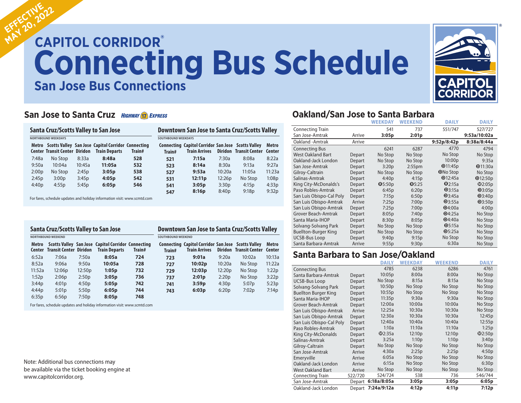# **CAPITOL CORRIDOR® CAPITOL CORRIDOR® Connecting Bus Schedule Connecting Bus Schedule San Jose Bus Connections EFFECTIVE EFFECTIVE22**



### **San Jose to Santa Cruz HIGHWAY 17 EXPRESS**

|                            |                                      |        | Santa Cruz/Scotts Valley to San Jose                                             |        | Downtown San Jose to Santa Cruz/Scotts Valley |                                                                            |        |                                      |        |
|----------------------------|--------------------------------------|--------|----------------------------------------------------------------------------------|--------|-----------------------------------------------|----------------------------------------------------------------------------|--------|--------------------------------------|--------|
| <b>NORTHBOUND WEEKDAYS</b> |                                      |        |                                                                                  |        | <b>SOUTHBOUND WEEKDAYS</b>                    |                                                                            |        |                                      |        |
|                            | <b>Center Transit Center Diridon</b> |        | Metro Scotts Valley San Jose Capitol Corridor Connecting<br><b>Train Departs</b> | Train# | Train#                                        | Connecting Capitol Corridor San Jose Scotts Valley<br><b>Train Arrives</b> |        | <b>Diridon Transit Center Center</b> | Metro  |
| 7:48a                      | No Stop                              | 8:33a  | 8:48a                                                                            | 528    | 521                                           | 7:15a                                                                      | 7:30a  | 8:08a                                | 8:22a  |
| 9:50a                      | 10:04a                               | 10:45a | 11:05a                                                                           | 532    | 523                                           | 8:14a                                                                      | 8:30a  | 9:13a                                | 9:27a  |
| 2:00 <sub>D</sub>          | No Stop                              | 2:45p  | 3:05p                                                                            | 538    | 527                                           | 9:53a                                                                      | 10:20a | 11:05a                               | 11:23a |
| 2:45p                      | 3:00p                                | 3:45p  | 4:05p                                                                            | 542    | 531                                           | 12:11p                                                                     | 12:26p | No Stop                              | 1:08p  |
| 4:40p                      | 4:55p                                | 5:45p  | 6:05p                                                                            | 546    | 541                                           | 3:05p                                                                      | 3:30p  | 4:15p                                | 4:33p  |
|                            |                                      |        |                                                                                  |        | 547                                           | 8:16p                                                                      | 8:40p  | 9:18p                                | 9:32p  |

For fares, schedule updates and holiday information visit: www.scmtd.com

| <b>Santa Cruz/Scotts Valley to San Jose</b> |                               |        |                                                                            |        | Downtown San Jose to Santa Cruz/Scotts Valley |                                                                                   |        |                               |        |  |
|---------------------------------------------|-------------------------------|--------|----------------------------------------------------------------------------|--------|-----------------------------------------------|-----------------------------------------------------------------------------------|--------|-------------------------------|--------|--|
|                                             | <b>NORTHBOUND WEEKEND</b>     |        |                                                                            |        | SOUTHBOUND WEEKEND                            |                                                                                   |        |                               |        |  |
| Metro<br>Center                             | <b>Transit Center Diridon</b> |        | Scotts Valley San Jose Capitol Corridor Connecting<br><b>Train Departs</b> | Train# | Train#                                        | <b>Connecting Capitol Corridor San Jose Scotts Valley</b><br><b>Train Arrives</b> |        | Diridon Transit Center Center | Metro  |  |
| 6:52a                                       | 7:06a                         | 7:50a  | 8:05a                                                                      | 724    | 723                                           | 9:01a                                                                             | 9:20a  | 10:02a                        | 10:13a |  |
| 8:52a                                       | 9:06a                         | 9:50a  | 10:05a                                                                     | 728    | 727                                           | 10:02p                                                                            | 10:20a | No Stop                       | 11:22a |  |
| 11:52a                                      | 12:06p                        | 12:50p | 1:05p                                                                      | 732    | 729                                           | 12:03p                                                                            | 12:20p | No Stop                       | 1:22p  |  |
| 1:52p                                       | 2:06p                         | 2:50p  | 3:05p                                                                      | 736    | 737                                           | 2:01p                                                                             | 2:20p  | No Stop                       | 3:22p  |  |
| 3:44p                                       | 4:01p                         | 4:50p  | 5:05p                                                                      | 742    | 741                                           | 3:59p                                                                             | 4:30p  | 5:07p                         | 5:23p  |  |
| 4:44p                                       | 5:01p                         | 5:50p  | 6:05p                                                                      | 744    | 743                                           | 6:03p                                                                             | 6:20p  | 7:02p                         | 7:14p  |  |
| 6:35p                                       | 6:56p                         | 7:50p  | 8:05p                                                                      | 748    |                                               |                                                                                   |        |                               |        |  |

For fares, schedule updates and holiday information visit: www.scmtd.com

Note: Additional bus connections may be available via the ticket booking engine at www.capitolcorridor.org.

## **Oakland/San Jose to Santa Barbara**

|                             |        | <b>WEEKDAY</b> | <b>WEEKEND</b>     | <b>DAILY</b>    | <b>DAILY</b> |
|-----------------------------|--------|----------------|--------------------|-----------------|--------------|
| <b>Connecting Train</b>     |        | 541            | 737                | 551/747         | 527/727      |
| San Jose-Amtrak             | Arrive | 3:05p          | 2:01p              |                 | 9:53a/10:02a |
| Oakland - Amtrak            | Arrive |                |                    | 9:52p/8:42p     | 8:38a/8:44a  |
| <b>Connecting Bus</b>       |        | 6241           | 6287               | 4770            | 4794         |
| <b>West Oakland Bart</b>    | Depart | No Stop        | No Stop            | No Stop         | No Stop      |
| Oakland-Jack London         | Depart | No Stop        | No Stop            | 10:00p          | 9:35a        |
| San Jose-Amtrak             | Depart | 3:20p          | 2:55 <sub>pm</sub> | $Q$ 11:45p      | Q11:30a      |
| Gilroy-Caltrain             | Depart | No Stop        | No Stop            | <b>ONo Stop</b> | No Stop      |
| Salinas-Amtrak              | Depart | 4:40p          | 4:15p              | Q12:45a         | Q12:50p      |
| King City-McDonalds's       | Depart | Q5:50p         | Q5:25              | Q2:15a          | @2:05p       |
| Paso Robles-Amtrak          | Depart | 6:45p          | 6:20p              | Q3:15a          | Q3:05p       |
| San Luis Obispo-Cal Poly    | Depart | 7:15p          | 6:50p              | Q3:45a          | Q3:40p       |
| San Luis Obispo-Amtrak      | Arrive | 7:25p          | 7:00p              | Q3:55a          | Q3:50p       |
| San Luis Obispo-Amtrak      | Depart | 7:25p          | 7:00p              | Q4:00a          | 4:00p        |
| Grover Beach-Amtrak         | Depart | 8:05p          | 7:40p              | Q4:25a          | No Stop      |
| Santa Maria-IHOP            | Depart | 8:30p          | 8:05p              | Q4:40a          | No Stop      |
| Solvang-Solvang Park        | Depart | No Stop        | No Stop            | Q5:15a          | No Stop      |
| <b>Buellton-Burger King</b> | Depart | No Stop        | No Stop            | Q5:25a          | No Stop      |
| <b>UCSB-Bus Loop</b>        | Depart | 9:40p          | 9:15p              | No Stop         | No Stop      |
| Santa Barbara-Amtrak        | Arrive | 9:55p          | 9:30p              | 6:30a           | No Stop      |

### **Santa Barbara to San Jose/Oakland**

|                             |         | <b>DAILY</b>       | <b>WEEKDAY</b> | WEEKEND | <b>DAILY</b> |
|-----------------------------|---------|--------------------|----------------|---------|--------------|
| <b>Connecting Bus</b>       |         | 4785               | 6238           | 6286    | 4761         |
| Santa Barbara-Amtrak        | Depart  | 10:05p             | 8:00a          | 8:00a   | No Stop      |
| <b>UCSB-Bus Loop</b>        | Depart  | No Stop            | 8:15a          | 8:15a   | No Stop      |
| Solvang-Solvang Park        | Depart  | 10:50p             | No Stop        | No Stop | No Stop      |
| <b>Buellton Burger King</b> | Depart  | 10:55p             | No Stop        | No Stop | No Stop      |
| Santa Maria-IHOP            | Depart  | 11:35p             | 9:30a          | 9:30a   | No Stop      |
| Grover Beach-Amtrak         | Depart  | 12:00a             | 10:00a         | 10:00a  | No Stop      |
| San Luis Obispo-Amtrak      | Arrive  | 12:25a             | 10:30a         | 10:30a  | No Stop      |
| San Luis Obispo-Amtrak      | Depart  | 12:30a             | 10:30a         | 10:30a  | 12:45p       |
| San Luis Obispo-Cal Poly    | Depart  | 12:40a             | 10:40a         | 10:40a  | 12:55p       |
| Paso Robles-Amtrak          | Depart  | 1:10a              | 11:10a         | 11:10a  | 1:25p        |
| King City-McDonalds         | Depart  | @2:35a             | 12:10p         | 12:10p  | $\Phi$ 2:50p |
| Salinas-Amtrak              | Depart  | 3:25a              | 1:10p          | 1:10p   | 3:40p        |
| Gilroy-Caltrain             | Depart  | No Stop            | No Stop        | No Stop | No Stop      |
| San Jose-Amtrak             | Arrive  | 4:30a              | 2:25p          | 2:25p   | 4:50p        |
| Emeryville                  | Arrive  | 6:05a              | No Stop        | No Stop | No Stop      |
| Oakland-Jack London         | Arrive  | 6:15a              | No Stop        | No Stop | 6:30p        |
| <b>West Oakland Bart</b>    | Arrive  | No Stop            | No Stop        | No Stop | No Stop      |
| <b>Connecting Train</b>     | 522/720 | 524/724            | 538            | 736     | 546/744      |
| San Jose-Amtrak             |         | Depart 6:18a/8:05a | 3:05p          | 3:05p   | 6:05p        |
| Oakland-Jack London         |         | Depart 7:24a/9:12a | 4:12p          | 4:11p   | 7:12p        |